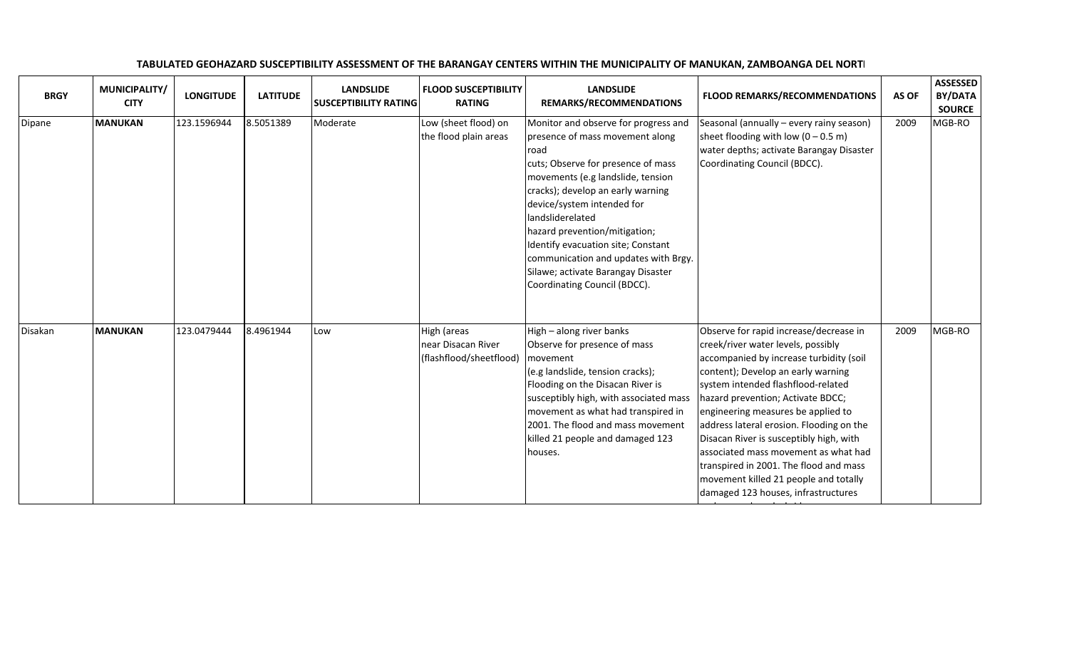| <b>BRGY</b> | MUNICIPALITY/<br><b>CITY</b> | <b>LONGITUDE</b> | <b>LATITUDE</b> | <b>LANDSLIDE</b><br><b>SUSCEPTIBILITY RATING</b> | <b>FLOOD SUSCEPTIBILITY</b><br><b>RATING</b>                 | <b>LANDSLIDE</b><br>REMARKS/RECOMMENDATIONS                                                                                                                                                                                                                                                                                                                                                                                            | <b>FLOOD REMARKS/RECOMMENDATIONS</b>                                                                                                                                                                                                                                                                                                                                                                                                                                                                                                    | AS OF | <b>ASSESSED</b><br>BY/DATA<br><b>SOURCE</b> |
|-------------|------------------------------|------------------|-----------------|--------------------------------------------------|--------------------------------------------------------------|----------------------------------------------------------------------------------------------------------------------------------------------------------------------------------------------------------------------------------------------------------------------------------------------------------------------------------------------------------------------------------------------------------------------------------------|-----------------------------------------------------------------------------------------------------------------------------------------------------------------------------------------------------------------------------------------------------------------------------------------------------------------------------------------------------------------------------------------------------------------------------------------------------------------------------------------------------------------------------------------|-------|---------------------------------------------|
| Dipane      | <b>MANUKAN</b>               | 123.1596944      | 8.5051389       | Moderate                                         | Low (sheet flood) on<br>the flood plain areas                | Monitor and observe for progress and<br>presence of mass movement along<br>road<br>cuts; Observe for presence of mass<br>movements (e.g landslide, tension<br>cracks); develop an early warning<br>device/system intended for<br>landsliderelated<br>hazard prevention/mitigation;<br>Identify evacuation site; Constant<br>communication and updates with Brgy.<br>Silawe; activate Barangay Disaster<br>Coordinating Council (BDCC). | Seasonal (annually - every rainy season)<br>sheet flooding with low $(0 - 0.5 \text{ m})$<br>water depths; activate Barangay Disaster<br>Coordinating Council (BDCC).                                                                                                                                                                                                                                                                                                                                                                   | 2009  | MGB-RO                                      |
| Disakan     | <b>MANUKAN</b>               | 123.0479444      | 8.4961944       | Low                                              | High (areas<br>near Disacan River<br>(flashflood/sheetflood) | High - along river banks<br>Observe for presence of mass<br>movement<br>(e.g landslide, tension cracks);<br>Flooding on the Disacan River is<br>susceptibly high, with associated mass<br>movement as what had transpired in<br>2001. The flood and mass movement<br>killed 21 people and damaged 123<br>houses.                                                                                                                       | Observe for rapid increase/decrease in<br>creek/river water levels, possibly<br>accompanied by increase turbidity (soil<br>content); Develop an early warning<br>system intended flashflood-related<br>hazard prevention; Activate BDCC;<br>engineering measures be applied to<br>address lateral erosion. Flooding on the<br>Disacan River is susceptibly high, with<br>associated mass movement as what had<br>transpired in 2001. The flood and mass<br>movement killed 21 people and totally<br>damaged 123 houses, infrastructures | 2009  | MGB-RO                                      |

such as roads and a bridge.

## TABULATED GEOHAZARD SUSCEPTIBILITY ASSESSMENT OF THE BARANGAY CENTERS WITHIN THE MUNICIPALITY OF MANUKAN, ZAMBOANGA DEL NORTI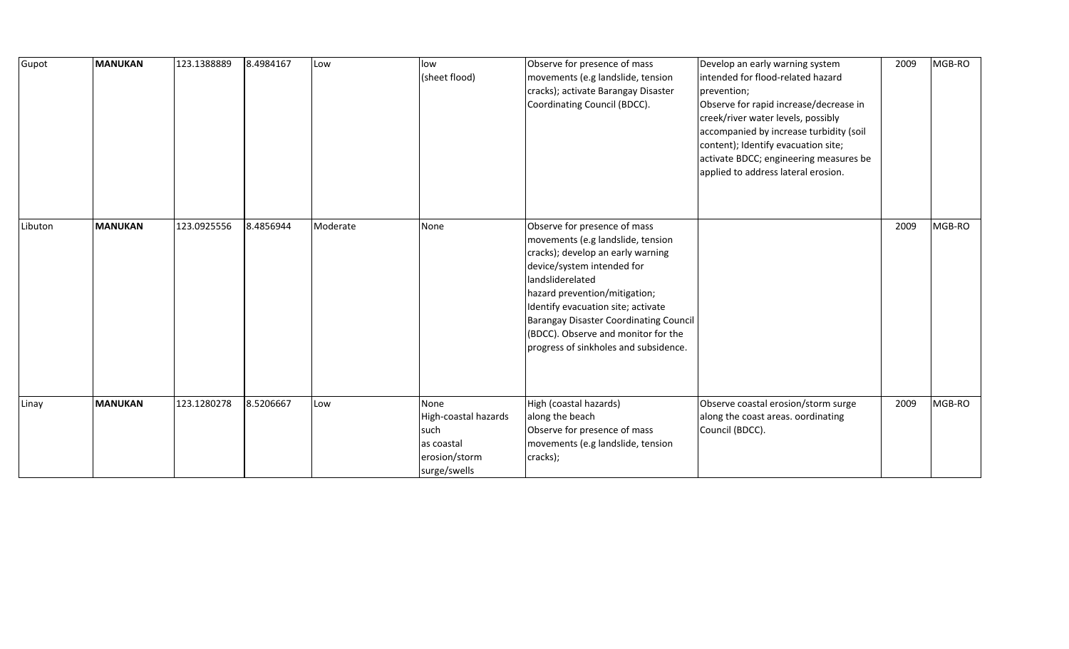| Gupot   | <b>MANUKAN</b> | 123.1388889 | 8.4984167 | Low      | low<br>(sheet flood)                                                                | Observe for presence of mass<br>movements (e.g landslide, tension<br>cracks); activate Barangay Disaster<br>Coordinating Council (BDCC).                                                                                                                                                                                                                  | Develop an early warning system<br>intended for flood-related hazard<br>prevention;<br>Observe for rapid increase/decrease in<br>creek/river water levels, possibly<br>accompanied by increase turbidity (soil<br>content); Identify evacuation site;<br>activate BDCC; engineering measures be<br>applied to address lateral erosion. | 2009 | MGB-RO |
|---------|----------------|-------------|-----------|----------|-------------------------------------------------------------------------------------|-----------------------------------------------------------------------------------------------------------------------------------------------------------------------------------------------------------------------------------------------------------------------------------------------------------------------------------------------------------|----------------------------------------------------------------------------------------------------------------------------------------------------------------------------------------------------------------------------------------------------------------------------------------------------------------------------------------|------|--------|
| Libuton | <b>MANUKAN</b> | 123.0925556 | 8.4856944 | Moderate | None                                                                                | Observe for presence of mass<br>movements (e.g landslide, tension<br>cracks); develop an early warning<br>device/system intended for<br>landsliderelated<br>hazard prevention/mitigation;<br>Identify evacuation site; activate<br>Barangay Disaster Coordinating Council<br>(BDCC). Observe and monitor for the<br>progress of sinkholes and subsidence. |                                                                                                                                                                                                                                                                                                                                        | 2009 | MGB-RO |
| Linay   | <b>MANUKAN</b> | 123.1280278 | 8.5206667 | Low      | None<br>High-coastal hazards<br>such<br>as coastal<br>erosion/storm<br>surge/swells | High (coastal hazards)<br>along the beach<br>Observe for presence of mass<br>movements (e.g landslide, tension<br>cracks);                                                                                                                                                                                                                                | Observe coastal erosion/storm surge<br>along the coast areas. oordinating<br>Council (BDCC).                                                                                                                                                                                                                                           | 2009 | MGB-RO |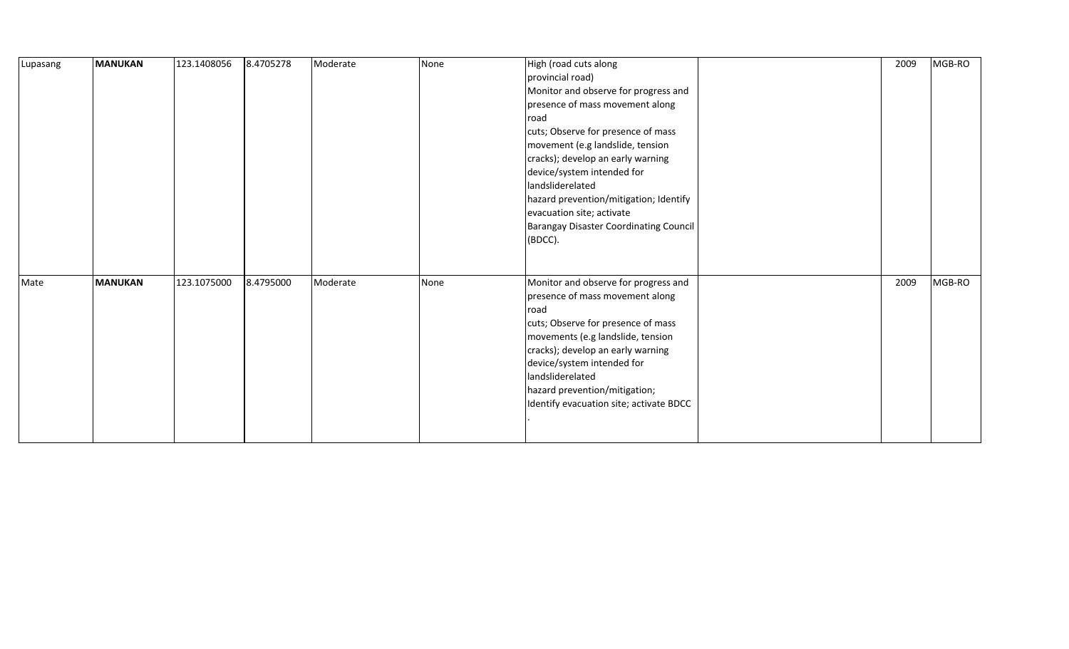| Lupasang | <b>MANUKAN</b> | 123.1408056 | 8.4705278 | Moderate | None | High (road cuts along<br>provincial road)<br>Monitor and observe for progress and<br>presence of mass movement along<br>road<br>cuts; Observe for presence of mass<br>movement (e.g landslide, tension<br>cracks); develop an early warning<br>device/system intended for<br>landsliderelated<br>hazard prevention/mitigation; Identify<br>evacuation site; activate<br>Barangay Disaster Coordinating Council<br>(BDCC). | 2009 | MGB-RO |
|----------|----------------|-------------|-----------|----------|------|---------------------------------------------------------------------------------------------------------------------------------------------------------------------------------------------------------------------------------------------------------------------------------------------------------------------------------------------------------------------------------------------------------------------------|------|--------|
| Mate     | <b>MANUKAN</b> | 123.1075000 | 8.4795000 | Moderate | None | Monitor and observe for progress and<br>presence of mass movement along<br>road<br>cuts; Observe for presence of mass<br>movements (e.g landslide, tension<br>cracks); develop an early warning<br>device/system intended for<br>landsliderelated<br>hazard prevention/mitigation;<br>Identify evacuation site; activate BDCC                                                                                             | 2009 | MGB-RO |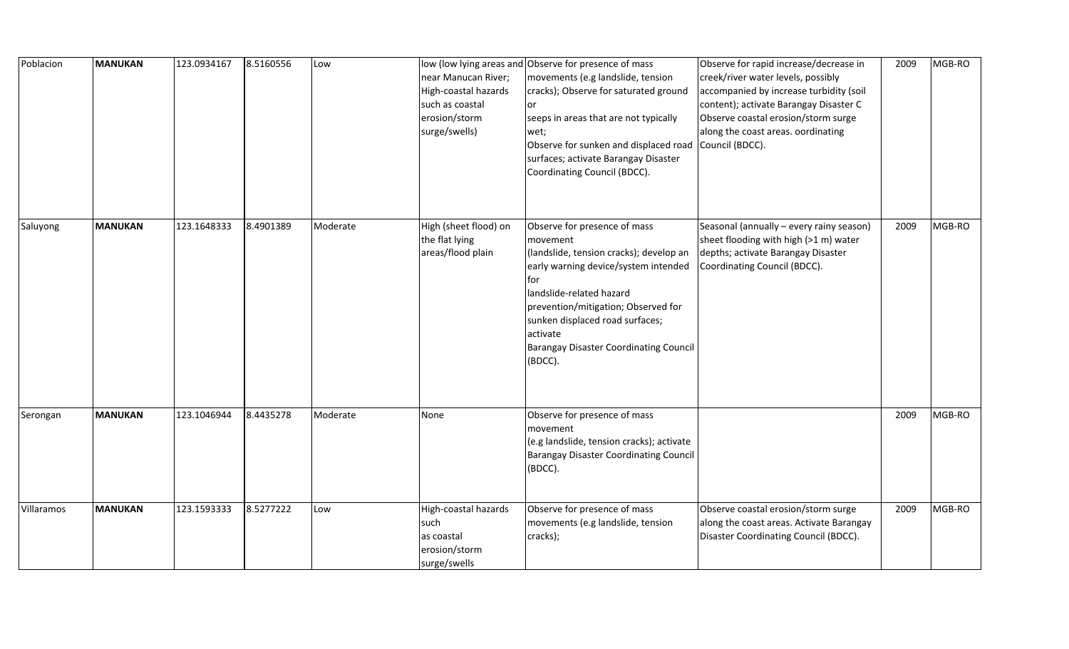| Poblacion  | <b>MANUKAN</b> | 123.0934167 | 8.5160556 | Low      | near Manucan River;<br>High-coastal hazards<br>such as coastal<br>erosion/storm<br>surge/swells) | low (low lying areas and Observe for presence of mass<br>movements (e.g landslide, tension<br>cracks); Observe for saturated ground<br>or<br>seeps in areas that are not typically<br>wet;<br>Observe for sunken and displaced road Council (BDCC).<br>surfaces; activate Barangay Disaster<br>Coordinating Council (BDCC). | Observe for rapid increase/decrease in<br>creek/river water levels, possibly<br>accompanied by increase turbidity (soil<br>content); activate Barangay Disaster C<br>Observe coastal erosion/storm surge<br>along the coast areas. oordinating | 2009 | MGB-RO |
|------------|----------------|-------------|-----------|----------|--------------------------------------------------------------------------------------------------|-----------------------------------------------------------------------------------------------------------------------------------------------------------------------------------------------------------------------------------------------------------------------------------------------------------------------------|------------------------------------------------------------------------------------------------------------------------------------------------------------------------------------------------------------------------------------------------|------|--------|
| Saluyong   | MANUKAN        | 123.1648333 | 8.4901389 | Moderate | High (sheet flood) on<br>the flat lying<br>areas/flood plain                                     | Observe for presence of mass<br>movement<br>(landslide, tension cracks); develop an<br>early warning device/system intended<br>for<br>landslide-related hazard<br>prevention/mitigation; Observed for<br>sunken displaced road surfaces;<br>activate<br>Barangay Disaster Coordinating Council<br>(BDCC).                   | Seasonal (annually - every rainy season)<br>sheet flooding with high (>1 m) water<br>depths; activate Barangay Disaster<br>Coordinating Council (BDCC).                                                                                        | 2009 | MGB-RO |
| Serongan   | MANUKAN        | 123.1046944 | 8.4435278 | Moderate | None                                                                                             | Observe for presence of mass<br>movement<br>(e.g landslide, tension cracks); activate<br><b>Barangay Disaster Coordinating Council</b><br>(BDCC).                                                                                                                                                                           |                                                                                                                                                                                                                                                | 2009 | MGB-RO |
| Villaramos | MANUKAN        | 123.1593333 | 8.5277222 | Low      | High-coastal hazards<br>such<br>as coastal<br>erosion/storm<br>surge/swells                      | Observe for presence of mass<br>movements (e.g landslide, tension<br>cracks);                                                                                                                                                                                                                                               | Observe coastal erosion/storm surge<br>along the coast areas. Activate Barangay<br>Disaster Coordinating Council (BDCC).                                                                                                                       | 2009 | MGB-RO |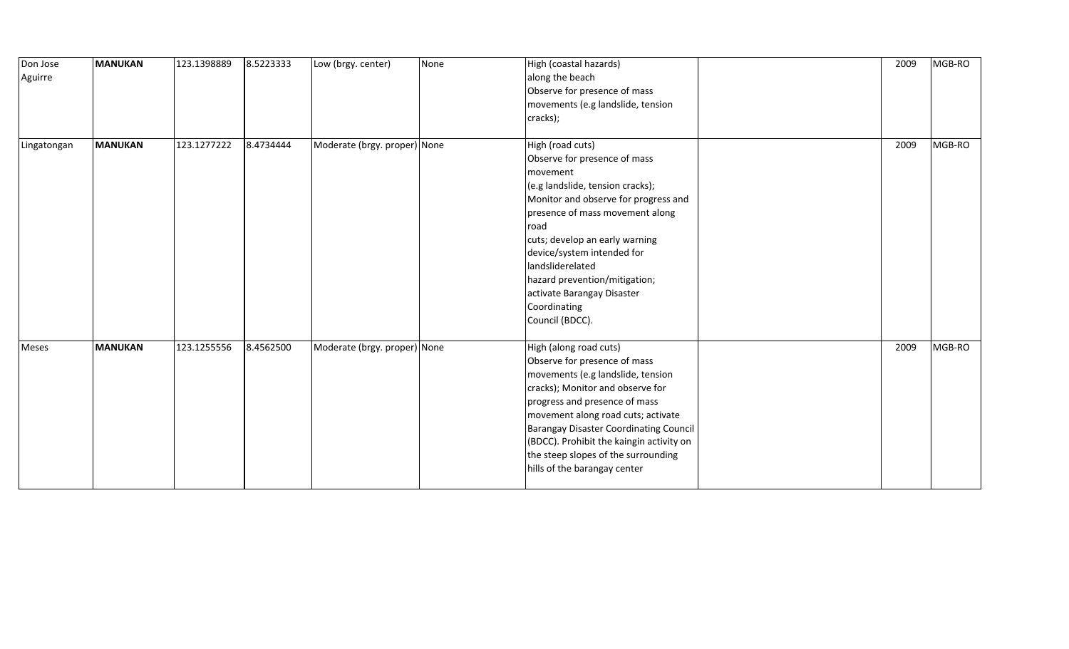| Don Jose<br>Aguirre | <b>MANUKAN</b> | 123.1398889 | 8.5223333 | Low (brgy. center)           | None | High (coastal hazards)<br>along the beach<br>Observe for presence of mass<br>movements (e.g landslide, tension<br>cracks);                                                                                                                                                                                                                                                 | 2009 | MGB-RO |
|---------------------|----------------|-------------|-----------|------------------------------|------|----------------------------------------------------------------------------------------------------------------------------------------------------------------------------------------------------------------------------------------------------------------------------------------------------------------------------------------------------------------------------|------|--------|
| Lingatongan         | MANUKAN        | 123.1277222 | 8.4734444 | Moderate (brgy. proper) None |      | High (road cuts)<br>Observe for presence of mass<br>movement<br>(e.g landslide, tension cracks);<br>Monitor and observe for progress and<br>presence of mass movement along<br>road<br>cuts; develop an early warning<br>device/system intended for<br>landsliderelated<br>hazard prevention/mitigation;<br>activate Barangay Disaster<br>Coordinating<br>Council (BDCC).  | 2009 | MGB-RO |
| Meses               | MANUKAN        | 123.1255556 | 8.4562500 | Moderate (brgy. proper) None |      | High (along road cuts)<br>Observe for presence of mass<br>movements (e.g landslide, tension<br>cracks); Monitor and observe for<br>progress and presence of mass<br>movement along road cuts; activate<br><b>Barangay Disaster Coordinating Council</b><br>(BDCC). Prohibit the kaingin activity on<br>the steep slopes of the surrounding<br>hills of the barangay center | 2009 | MGB-RO |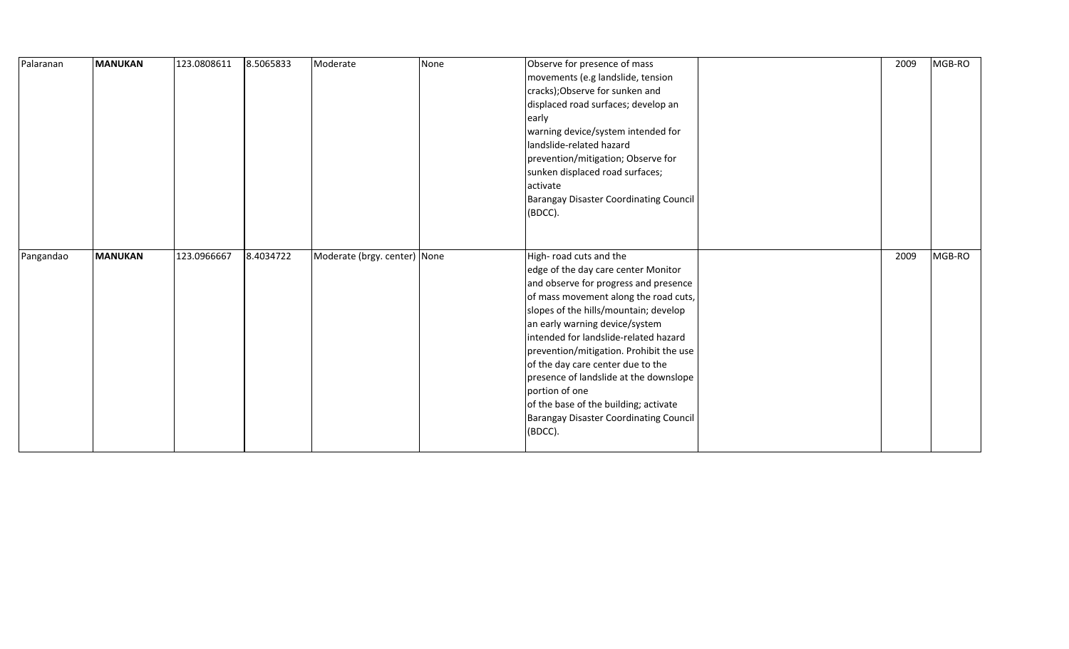| Palaranan | <b>MANUKAN</b> | 123.0808611 | 8.5065833 | Moderate                     | None | Observe for presence of mass                  | 2009 | MGB-RO |
|-----------|----------------|-------------|-----------|------------------------------|------|-----------------------------------------------|------|--------|
|           |                |             |           |                              |      | movements (e.g landslide, tension             |      |        |
|           |                |             |           |                              |      | cracks); Observe for sunken and               |      |        |
|           |                |             |           |                              |      | displaced road surfaces; develop an           |      |        |
|           |                |             |           |                              |      | early                                         |      |        |
|           |                |             |           |                              |      | warning device/system intended for            |      |        |
|           |                |             |           |                              |      | landslide-related hazard                      |      |        |
|           |                |             |           |                              |      | prevention/mitigation; Observe for            |      |        |
|           |                |             |           |                              |      | sunken displaced road surfaces;               |      |        |
|           |                |             |           |                              |      | activate                                      |      |        |
|           |                |             |           |                              |      | <b>Barangay Disaster Coordinating Council</b> |      |        |
|           |                |             |           |                              |      | (BDCC).                                       |      |        |
|           |                |             |           |                              |      |                                               |      |        |
|           |                |             |           |                              |      |                                               |      |        |
| Pangandao | <b>MANUKAN</b> | 123.0966667 | 8.4034722 | Moderate (brgy. center) None |      | High-road cuts and the                        | 2009 | MGB-RO |
|           |                |             |           |                              |      | edge of the day care center Monitor           |      |        |
|           |                |             |           |                              |      |                                               |      |        |
|           |                |             |           |                              |      | and observe for progress and presence         |      |        |
|           |                |             |           |                              |      | of mass movement along the road cuts,         |      |        |
|           |                |             |           |                              |      | slopes of the hills/mountain; develop         |      |        |
|           |                |             |           |                              |      | an early warning device/system                |      |        |
|           |                |             |           |                              |      | intended for landslide-related hazard         |      |        |
|           |                |             |           |                              |      | prevention/mitigation. Prohibit the use       |      |        |
|           |                |             |           |                              |      | of the day care center due to the             |      |        |
|           |                |             |           |                              |      | presence of landslide at the downslope        |      |        |
|           |                |             |           |                              |      | portion of one                                |      |        |
|           |                |             |           |                              |      | of the base of the building; activate         |      |        |
|           |                |             |           |                              |      | Barangay Disaster Coordinating Council        |      |        |
|           |                |             |           |                              |      | (BDCC).                                       |      |        |
|           |                |             |           |                              |      |                                               |      |        |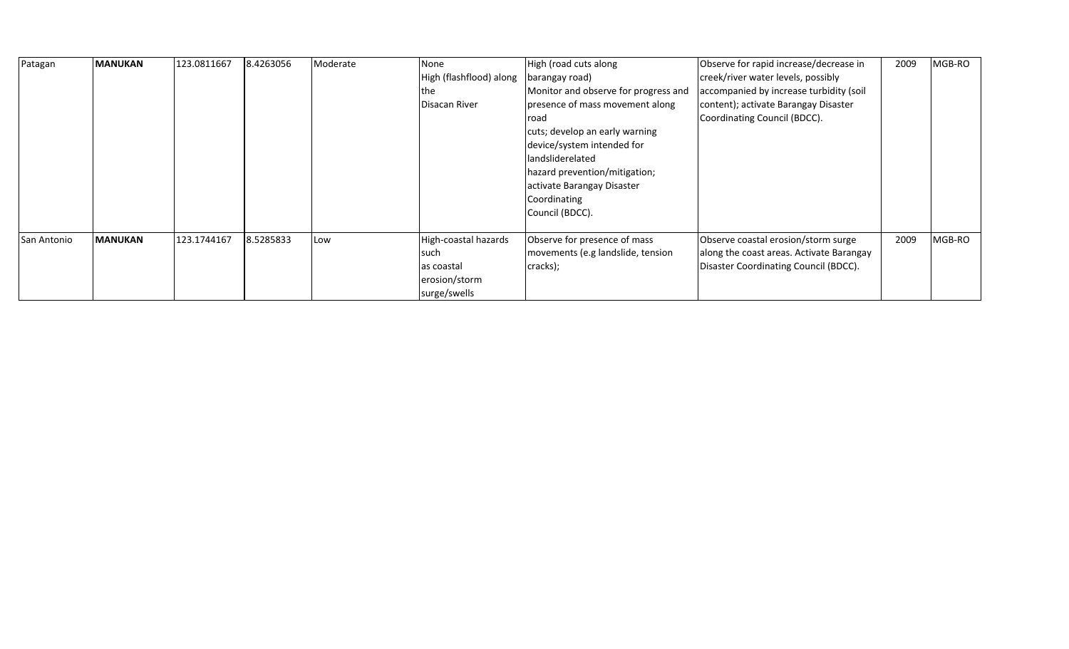| Patagan     | <b>MANUKAN</b> | 123.0811667 | 8.4263056 | Moderate | None<br>High (flashflood) along<br>the<br>Disacan River                      | High (road cuts along<br>barangay road)<br>Monitor and observe for progress and<br>presence of mass movement along<br>road<br>cuts; develop an early warning<br>device/system intended for<br>landsliderelated<br>hazard prevention/mitigation;<br>activate Barangay Disaster<br>Coordinating<br>Council (BDCC). | Observe for rapid increase/decrease in<br>creek/river water levels, possibly<br>accompanied by increase turbidity (soil<br>content); activate Barangay Disaster<br>Coordinating Council (BDCC). | 2009 | MGB-RO |
|-------------|----------------|-------------|-----------|----------|------------------------------------------------------------------------------|------------------------------------------------------------------------------------------------------------------------------------------------------------------------------------------------------------------------------------------------------------------------------------------------------------------|-------------------------------------------------------------------------------------------------------------------------------------------------------------------------------------------------|------|--------|
| San Antonio | <b>MANUKAN</b> | 123.1744167 | 8.5285833 | Low      | High-coastal hazards<br>such<br>las coastal<br>erosion/storm<br>surge/swells | Observe for presence of mass<br>movements (e.g landslide, tension<br>cracks);                                                                                                                                                                                                                                    | Observe coastal erosion/storm surge<br>along the coast areas. Activate Barangay<br>Disaster Coordinating Council (BDCC).                                                                        | 2009 | MGB-RO |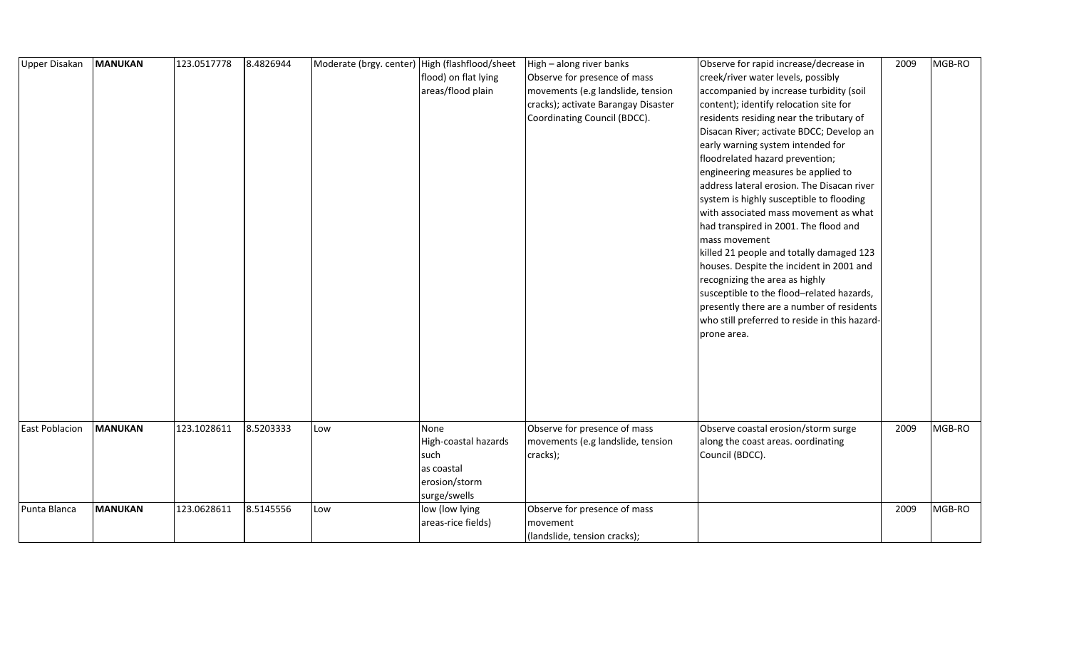| <b>Upper Disakan</b>  | <b>MANUKAN</b> | 123.0517778 | 8.4826944 | Moderate (brgy. center) High (flashflood/sheet |                      | High - along river banks            | Observe for rapid increase/decrease in        | 2009 | MGB-RO |
|-----------------------|----------------|-------------|-----------|------------------------------------------------|----------------------|-------------------------------------|-----------------------------------------------|------|--------|
|                       |                |             |           |                                                | flood) on flat lying | Observe for presence of mass        | creek/river water levels, possibly            |      |        |
|                       |                |             |           |                                                | areas/flood plain    | movements (e.g landslide, tension   | accompanied by increase turbidity (soil       |      |        |
|                       |                |             |           |                                                |                      | cracks); activate Barangay Disaster | content); identify relocation site for        |      |        |
|                       |                |             |           |                                                |                      | Coordinating Council (BDCC).        | residents residing near the tributary of      |      |        |
|                       |                |             |           |                                                |                      |                                     | Disacan River; activate BDCC; Develop an      |      |        |
|                       |                |             |           |                                                |                      |                                     | early warning system intended for             |      |        |
|                       |                |             |           |                                                |                      |                                     | floodrelated hazard prevention;               |      |        |
|                       |                |             |           |                                                |                      |                                     | engineering measures be applied to            |      |        |
|                       |                |             |           |                                                |                      |                                     | address lateral erosion. The Disacan river    |      |        |
|                       |                |             |           |                                                |                      |                                     | system is highly susceptible to flooding      |      |        |
|                       |                |             |           |                                                |                      |                                     | with associated mass movement as what         |      |        |
|                       |                |             |           |                                                |                      |                                     | had transpired in 2001. The flood and         |      |        |
|                       |                |             |           |                                                |                      |                                     | mass movement                                 |      |        |
|                       |                |             |           |                                                |                      |                                     | killed 21 people and totally damaged 123      |      |        |
|                       |                |             |           |                                                |                      |                                     | houses. Despite the incident in 2001 and      |      |        |
|                       |                |             |           |                                                |                      |                                     | recognizing the area as highly                |      |        |
|                       |                |             |           |                                                |                      |                                     | susceptible to the flood-related hazards,     |      |        |
|                       |                |             |           |                                                |                      |                                     | presently there are a number of residents     |      |        |
|                       |                |             |           |                                                |                      |                                     | who still preferred to reside in this hazard- |      |        |
|                       |                |             |           |                                                |                      |                                     | prone area.                                   |      |        |
|                       |                |             |           |                                                |                      |                                     |                                               |      |        |
|                       |                |             |           |                                                |                      |                                     |                                               |      |        |
|                       |                |             |           |                                                |                      |                                     |                                               |      |        |
|                       |                |             |           |                                                |                      |                                     |                                               |      |        |
|                       |                |             |           |                                                |                      |                                     |                                               |      |        |
|                       |                |             |           |                                                |                      |                                     |                                               |      |        |
| <b>East Poblacion</b> | <b>MANUKAN</b> | 123.1028611 | 8.5203333 | Low                                            | None                 | Observe for presence of mass        | Observe coastal erosion/storm surge           | 2009 | MGB-RO |
|                       |                |             |           |                                                | High-coastal hazards | movements (e.g landslide, tension   | along the coast areas. oordinating            |      |        |
|                       |                |             |           |                                                | such                 | cracks);                            | Council (BDCC).                               |      |        |
|                       |                |             |           |                                                | as coastal           |                                     |                                               |      |        |
|                       |                |             |           |                                                | erosion/storm        |                                     |                                               |      |        |
|                       |                |             |           |                                                | surge/swells         |                                     |                                               |      |        |
| Punta Blanca          | <b>MANUKAN</b> | 123.0628611 | 8.5145556 | Low                                            | low (low lying       | Observe for presence of mass        |                                               | 2009 | MGB-RO |
|                       |                |             |           |                                                | areas-rice fields)   | movement                            |                                               |      |        |
|                       |                |             |           |                                                |                      | (landslide, tension cracks);        |                                               |      |        |